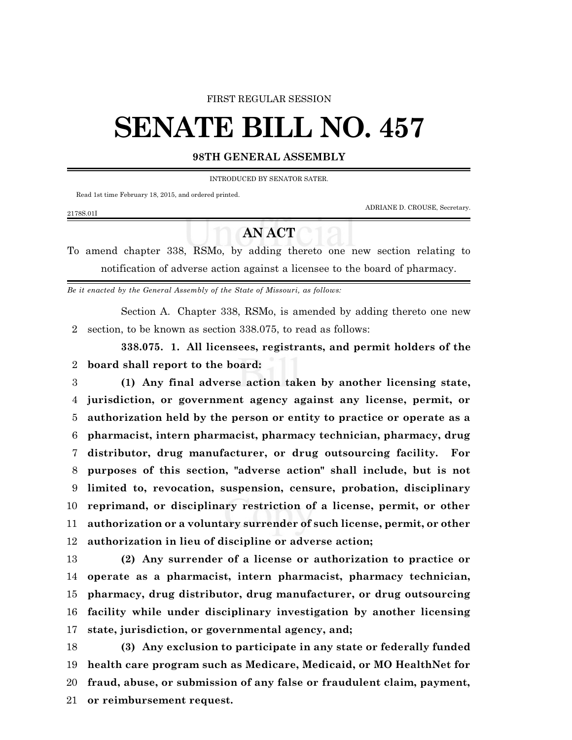## FIRST REGULAR SESSION

## **SENATE BILL NO. 457**

## **98TH GENERAL ASSEMBLY**

INTRODUCED BY SENATOR SATER.

Read 1st time February 18, 2015, and ordered printed.

2178S.01I

ADRIANE D. CROUSE, Secretary.

## **AN ACT**

To amend chapter 338, RSMo, by adding thereto one new section relating to notification of adverse action against a licensee to the board of pharmacy.

*Be it enacted by the General Assembly of the State of Missouri, as follows:*

Section A. Chapter 338, RSMo, is amended by adding thereto one new section, to be known as section 338.075, to read as follows:

**338.075. 1. All licensees, registrants, and permit holders of the board shall report to the board:**

 **(1) Any final adverse action taken by another licensing state, jurisdiction, or government agency against any license, permit, or authorization held by the person or entity to practice or operate as a pharmacist, intern pharmacist, pharmacy technician, pharmacy, drug distributor, drug manufacturer, or drug outsourcing facility. For purposes of this section, "adverse action" shall include, but is not limited to, revocation, suspension, censure, probation, disciplinary reprimand, or disciplinary restriction of a license, permit, or other authorization or a voluntary surrender of such license, permit, or other authorization in lieu of discipline or adverse action;**

 **(2) Any surrender of a license or authorization to practice or operate as a pharmacist, intern pharmacist, pharmacy technician, pharmacy, drug distributor, drug manufacturer, or drug outsourcing facility while under disciplinary investigation by another licensing state, jurisdiction, or governmental agency, and;**

 **(3) Any exclusion to participate in any state or federally funded health care program such as Medicare, Medicaid, or MO HealthNet for fraud, abuse, or submission of any false or fraudulent claim, payment, or reimbursement request.**